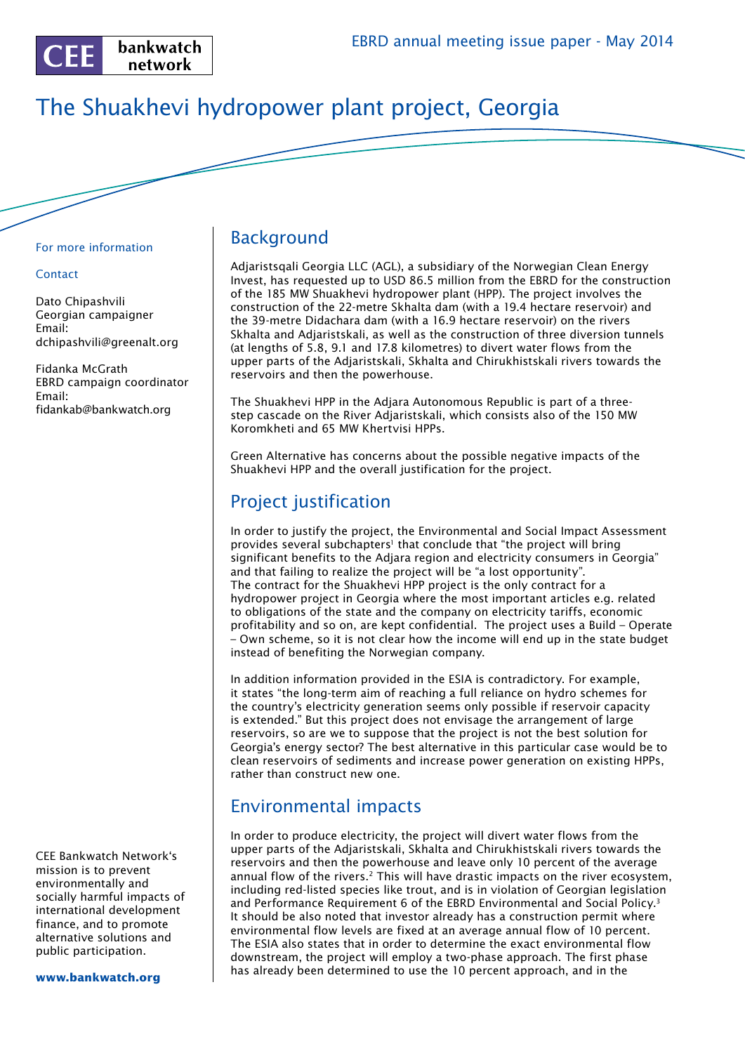

# The Shuakhevi hydropower plant project, Georgia

#### For more information

#### **Contact**

Dato Chipashvili Georgian campaigner Email: dchipashvili@greenalt.org

Fidanka McGrath EBRD campaign coordinator Email: fidankab@bankwatch.org

CEE Bankwatch Network's mission is to prevent environmentally and socially harmful impacts of international development finance, and to promote alternative solutions and public participation.

**www.bankwatch.org**

### Background

Adjaristsqali Georgia LLC (AGL), a subsidiary of the Norwegian Clean Energy Invest, has requested up to USD 86.5 million from the EBRD for the construction of the 185 MW Shuakhevi hydropower plant (HPP). The project involves the construction of the 22-metre Skhalta dam (with a 19.4 hectare reservoir) and the 39-metre Didachara dam (with a 16.9 hectare reservoir) on the rivers Skhalta and Adjaristskali, as well as the construction of three diversion tunnels (at lengths of 5.8, 9.1 and 17.8 kilometres) to divert water flows from the upper parts of the Adjaristskali, Skhalta and Chirukhistskali rivers towards the reservoirs and then the powerhouse.

The Shuakhevi HPP in the Adjara Autonomous Republic is part of a threestep cascade on the River Adjaristskali, which consists also of the 150 MW Koromkheti and 65 MW Khertvisi HPPs.

Green Alternative has concerns about the possible negative impacts of the Shuakhevi HPP and the overall justification for the project.

## Project justification

In order to justify the project, the Environmental and Social Impact Assessment provides several subchapters<sup>1</sup> that conclude that "the project will bring significant benefits to the Adjara region and electricity consumers in Georgia" and that failing to realize the project will be "a lost opportunity". The contract for the Shuakhevi HPP project is the only contract for a hydropower project in Georgia where the most important articles e.g. related to obligations of the state and the company on electricity tariffs, economic profitability and so on, are kept confidential. The project uses a Build – Operate – Own scheme, so it is not clear how the income will end up in the state budget instead of benefiting the Norwegian company.

In addition information provided in the ESIA is contradictory. For example, it states "the long-term aim of reaching a full reliance on hydro schemes for the country's electricity generation seems only possible if reservoir capacity is extended." But this project does not envisage the arrangement of large reservoirs, so are we to suppose that the project is not the best solution for Georgia's energy sector? The best alternative in this particular case would be to clean reservoirs of sediments and increase power generation on existing HPPs, rather than construct new one.

### Environmental impacts

In order to produce electricity, the project will divert water flows from the upper parts of the Adjaristskali, Skhalta and Chirukhistskali rivers towards the reservoirs and then the powerhouse and leave only 10 percent of the average annual flow of the rivers.<sup>2</sup> This will have drastic impacts on the river ecosystem, including red-listed species like trout, and is in violation of Georgian legislation and Performance Requirement 6 of the EBRD Environmental and Social Policy.3 It should be also noted that investor already has a construction permit where environmental flow levels are fixed at an average annual flow of 10 percent. The ESIA also states that in order to determine the exact environmental flow downstream, the project will employ a two-phase approach. The first phase has already been determined to use the 10 percent approach, and in the